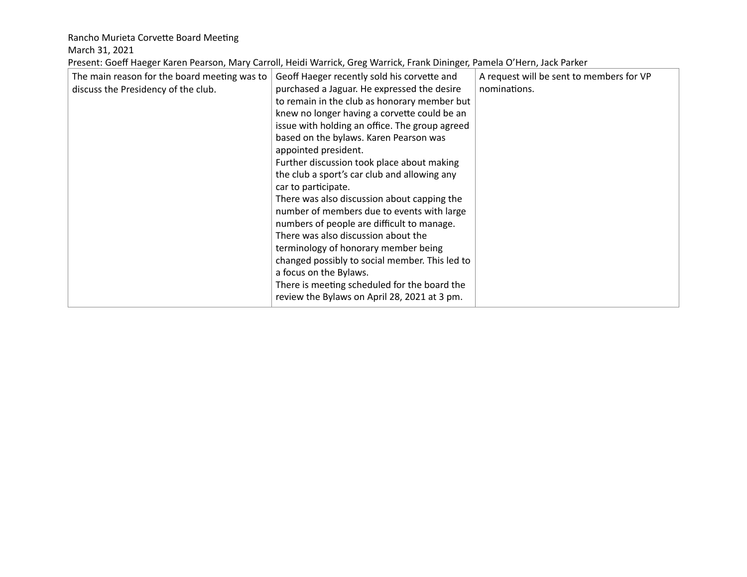Rancho Murieta Corvette Board Meeting

March 31, 2021

Present: Goeff Haeger Karen Pearson, Mary Carroll, Heidi Warrick, Greg Warrick, Frank Dininger, Pamela O'Hern, Jack Parker